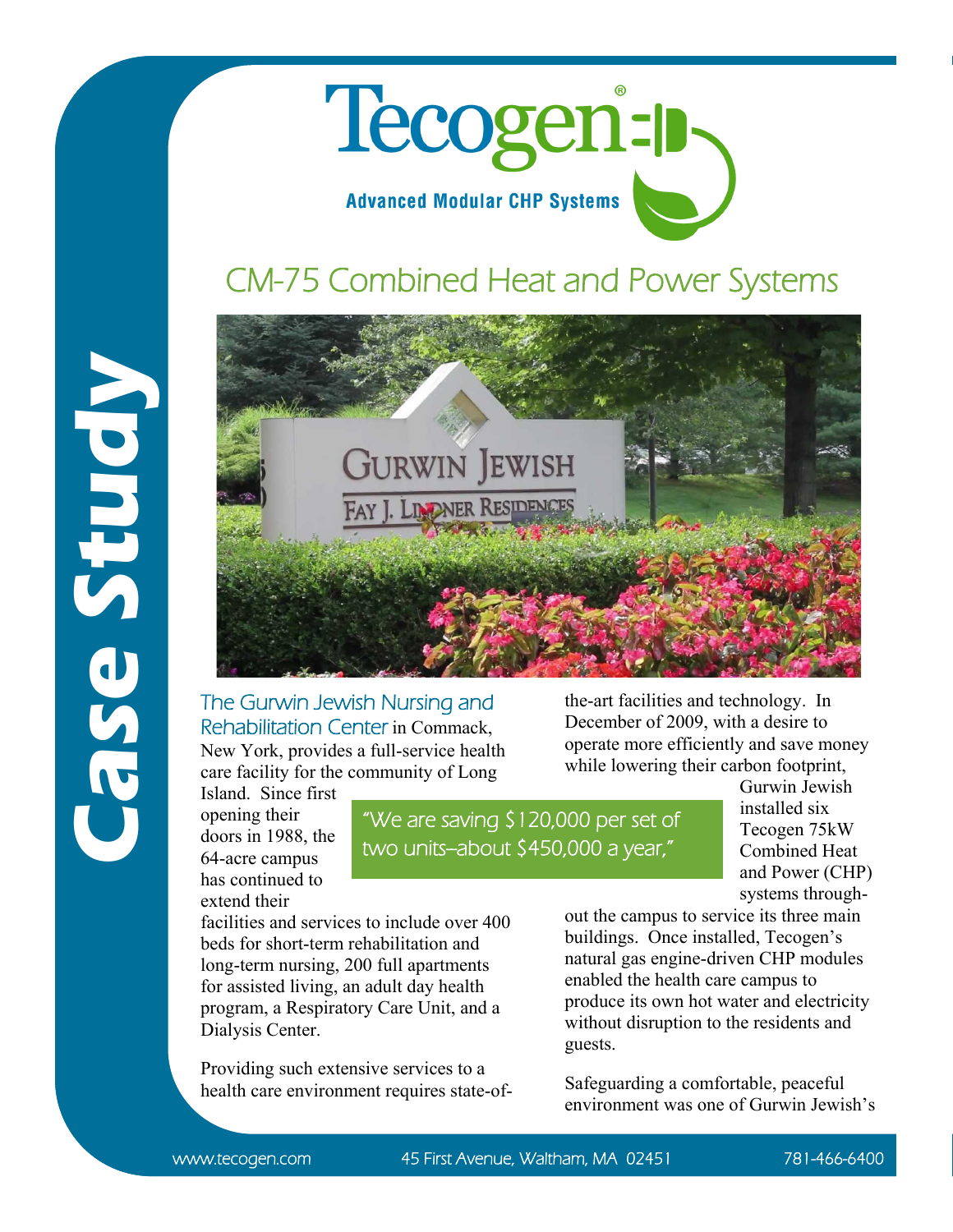

## CM-75 Combined Heat and Power Systems





The Gurwin Jewish Nursing and Rehabilitation Center in Commack, New York, provides a full-service health care facility for the community of Long

Island. Since first opening their doors in 1988, the 64-acre campus has continued to extend their

"We are saving \$120,000 per set of two units-about \$450,000 a year,"

the-art facilities and technology. In December of 2009, with a desire to operate more efficiently and save money while lowering their carbon footprint,

Gurwin Jewish installed six Tecogen 75kW Combined Heat and Power (CHP) systems through-

facilities and services to include over 400 beds for short-term rehabilitation and long-term nursing, 200 full apartments for assisted living, an adult day health program, a Respiratory Care Unit, and a Dialysis Center.

Providing such extensive services to a health care environment requires state-ofout the campus to service its three main buildings. Once installed, Tecogen's natural gas engine-driven CHP modules enabled the health care campus to produce its own hot water and electricity without disruption to the residents and guests.

Safeguarding a comfortable, peaceful environment was one of Gurwin Jewish's